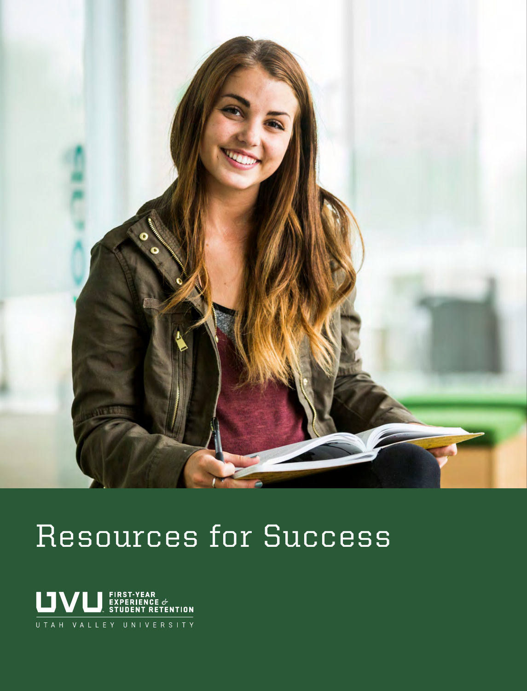

# Resources for Success

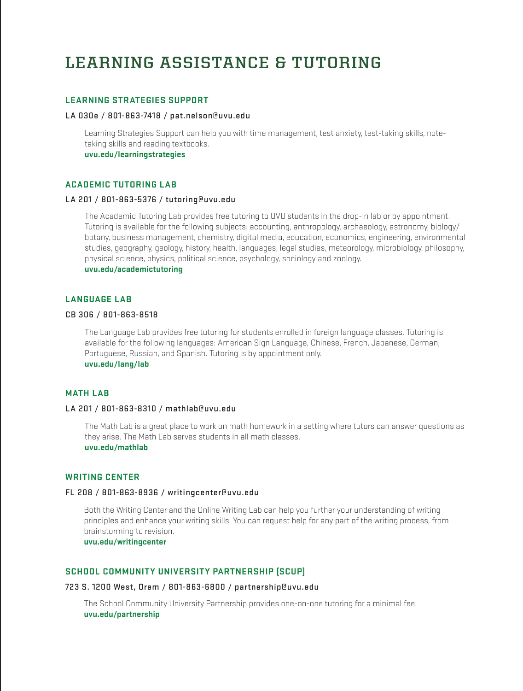### **LEARNING ASSISTANCE & TUTORING**

#### **LEARNING STRATEGIES SUPPORT**

#### LA 030e / 801-863-7418 / pat.nelson@uvu.edu

Learning Strategies Support can help you with time management, test anxiety, test-taking skills, notetaking skills and reading textbooks. **uvu.edu/learningstrategies**

#### **ACADEMIC TUTORING LAB**

#### LA 201 / 801-863-5376 / tutoring@uvu.edu

The Academic Tutoring Lab provides free tutoring to UVU students in the drop-in lab or by appointment. Tutoring is available for the following subjects: accounting, anthropology, archaeology, astronomy, biology/ botany, business management, chemistry, digital media, education, economics, engineering, environmental studies, geography, geology, history, health, languages, legal studies, meteorology, microbiology, philosophy, physical science, physics, political science, psychology, sociology and zoology.

**uvu.edu/academictutoring**

#### **LANGUAGE LAB**

#### CB 306 / 801-863-8518

The Language Lab provides free tutoring for students enrolled in foreign language classes. Tutoring is available for the following languages: American Sign Language, Chinese, French, Japanese, German, Portuguese, Russian, and Spanish. Tutoring is by appointment only. **uvu.edu/lang/lab**

#### **MATH LAB**

#### LA 201 / 801-863-8310 / mathlab@uvu.edu

The Math Lab is a great place to work on math homework in a setting where tutors can answer questions as they arise. The Math Lab serves students in all math classes. **uvu.edu/mathlab**

#### **WRITING CENTER**

#### FL 208 / 801-863-8936 / writingcenter@uvu.edu

Both the Writing Center and the Online Writing Lab can help you further your understanding of writing principles and enhance your writing skills. You can request help for any part of the writing process, from brainstorming to revision.

**uvu.edu/writingcenter**

#### **SCHOOL COMMUNITY UNIVERSITY PARTNERSHIP (SCUP)**

#### 723 S. 1200 West, Orem / 801-863-6800 / partnership@uvu.edu

The School Community University Partnership provides one-on-one tutoring for a minimal fee. **uvu.edu/partnership**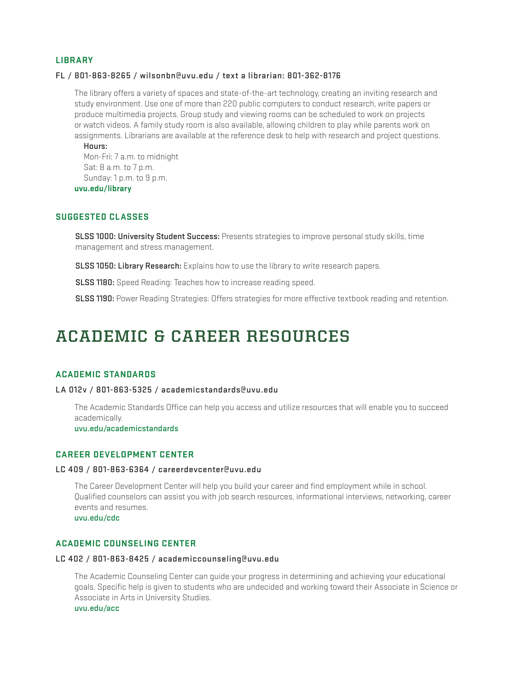#### **LIBRARY**

#### FL / 801-863-8265 / wilsonbn@uvu.edu / text a librarian: 801-362-8176

The library offers a variety of spaces and state-of-the-art technology, creating an inviting research and study environment. Use one of more than 220 public computers to conduct research, write papers or produce multimedia projects. Group study and viewing rooms can be scheduled to work on projects or watch videos. A family study room is also available, allowing children to play while parents work on assignments. Librarians are available at the reference desk to help with research and project questions.

#### Hours:

Mon-Fri: 7 a.m. to midnight Sat: 8 a.m. to 7 p.m. Sunday: 1 p.m. to 9 p.m. **uvu.edu/library**

#### **SUGGESTED CLASSES**

SLSS 1000: University Student Success: Presents strategies to improve personal study skills, time management and stress management.

**SLSS 1050: Library Research:** Explains how to use the library to write research papers.

SLSS 1180: Speed Reading: Teaches how to increase reading speed.

SLSS 1190: Power Reading Strategies: Offers strategies for more effective textbook reading and retention.

### **ACADEMIC & CAREER RESOURCES**

#### **ACADEMIC STANDARDS**

#### LA 012v / 801-863-5325 / academicstandards@uvu.edu

The Academic Standards Office can help you access and utilize resources that will enable you to succeed academically.

uvu.edu/academicstandards

#### **CAREER DEVELOPMENT CENTER**

#### LC 409 / 801-863-6364 / careerdevcenter@uvu.edu

The Career Development Center will help you build your career and find employment while in school. Qualified counselors can assist you with job search resources, informational interviews, networking, career events and resumes. uvu.edu/cdc

#### **ACADEMIC COUNSELING CENTER**

#### LC 402 / 801-863-8425 / academiccounseling@uvu.edu

The Academic Counseling Center can guide your progress in determining and achieving your educational goals. Specific help is given to students who are undecided and working toward their Associate in Science or Associate in Arts in University Studies. uvu.edu/acc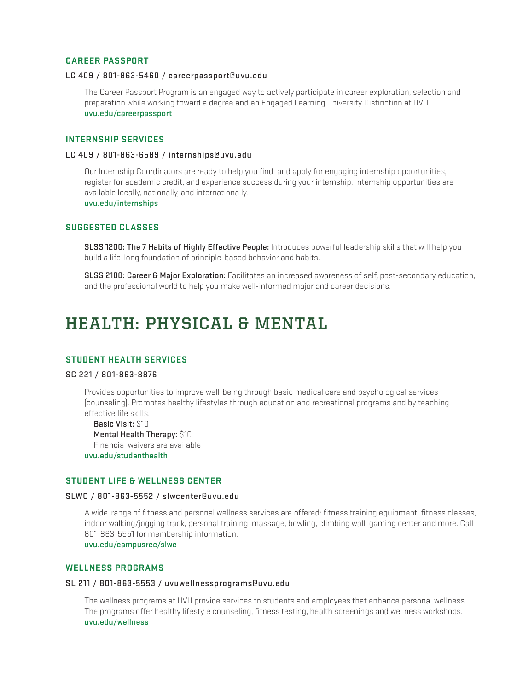#### **CAREER PASSPORT**

#### LC 409 / 801-863-5460 / careerpassport@uvu.edu

The Career Passport Program is an engaged way to actively participate in career exploration, selection and preparation while working toward a degree and an Engaged Learning University Distinction at UVU. uvu.edu/careerpassport

#### **INTERNSHIP SERVICES**

#### LC 409 / 801-863-6589 / internships@uvu.edu

Our Internship Coordinators are ready to help you find and apply for engaging internship opportunities, register for academic credit, and experience success during your internship. Internship opportunities are available locally, nationally, and internationally. uvu.edu/internships

#### **SUGGESTED CLASSES**

SLSS 1200: The 7 Habits of Highly Effective People: Introduces powerful leadership skills that will help you build a life-long foundation of principle-based behavior and habits.

SLSS 2100: Career & Major Exploration: Facilitates an increased awareness of self, post-secondary education, and the professional world to help you make well-informed major and career decisions.

### **HEALTH: PHYSICAL & MENTAL**

#### **STUDENT HEALTH SERVICES**

#### SC 221 / 801-863-8876

Provides opportunities to improve well-being through basic medical care and psychological services (counseling). Promotes healthy lifestyles through education and recreational programs and by teaching effective life skills.

Basic Visit: \$10 Mental Health Therapy: \$10 Financial waivers are available uvu.edu/studenthealth

#### **STUDENT LIFE & WELLNESS CENTER**

#### SLWC / 801-863-5552 / slwcenter@uvu.edu

A wide-range of fitness and personal wellness services are offered: fitness training equipment, fitness classes, indoor walking/jogging track, personal training, massage, bowling, climbing wall, gaming center and more. Call 801-863-5551 for membership information.

uvu.edu/campusrec/slwc

#### **WELLNESS PROGRAMS**

#### SL 211 / 801-863-5553 / uvuwellnessprograms@uvu.edu

The wellness programs at UVU provide services to students and employees that enhance personal wellness. The programs offer healthy lifestyle counseling, fitness testing, health screenings and wellness workshops. uvu.edu/wellness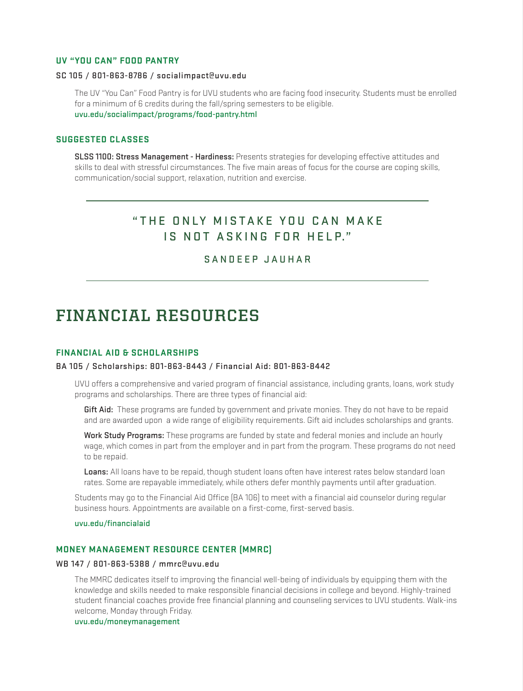#### **UV "YOU CAN" FOOD PANTRY**

#### SC 105 / 801-863-8786 / socialimpact@uvu.edu

The UV "You Can" Food Pantry is for UVU students who are facing food insecurity. Students must be enrolled for a minimum of 6 credits during the fall/spring semesters to be eligible. uvu.edu/socialimpact/programs/food-pantry.html

#### **SUGGESTED CLASSES**

SLSS 1100: Stress Management - Hardiness: Presents strategies for developing effective attitudes and skills to deal with stressful circumstances. The five main areas of focus for the course are coping skills, communication/social support, relaxation, nutrition and exercise.

### "THE ONLY MISTAKE YOU CAN MAKE IS NOT ASKING FOR HELP"

### SANDEEP JAUHAR

### **FINANCIAL RESOURCES**

#### **FINANCIAL AID & SCHOLARSHIPS**

#### BA 105 / Scholarships: 801-863-8443 / Financial Aid: 801-863-8442

UVU offers a comprehensive and varied program of financial assistance, including grants, loans, work study programs and scholarships. There are three types of financial aid:

**Gift Aid:** These programs are funded by government and private monies. They do not have to be repaid and are awarded upon a wide range of eligibility requirements. Gift aid includes scholarships and grants.

Work Study Programs: These programs are funded by state and federal monies and include an hourly wage, which comes in part from the employer and in part from the program. These programs do not need to be repaid.

Loans: All loans have to be repaid, though student loans often have interest rates below standard loan rates. Some are repayable immediately, while others defer monthly payments until after graduation.

Students may go to the Financial Aid Office (BA 106) to meet with a financial aid counselor during regular business hours. Appointments are available on a first-come, first-served basis.

#### uvu.edu/financialaid

#### **MONEY MANAGEMENT RESOURCE CENTER (MMRC)**

#### WB 147 / 801-863-5388 / mmrc@uvu.edu

The MMRC dedicates itself to improving the financial well-being of individuals by equipping them with the knowledge and skills needed to make responsible financial decisions in college and beyond. Highly-trained student financial coaches provide free financial planning and counseling services to UVU students. Walk-ins welcome, Monday through Friday.

uvu.edu/moneymanagement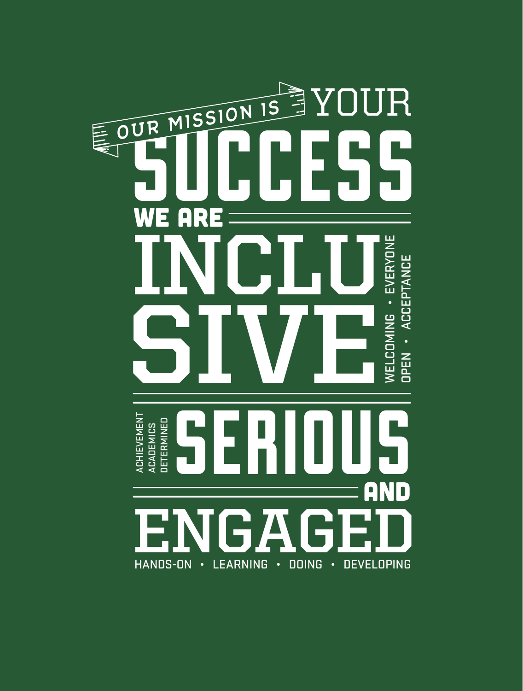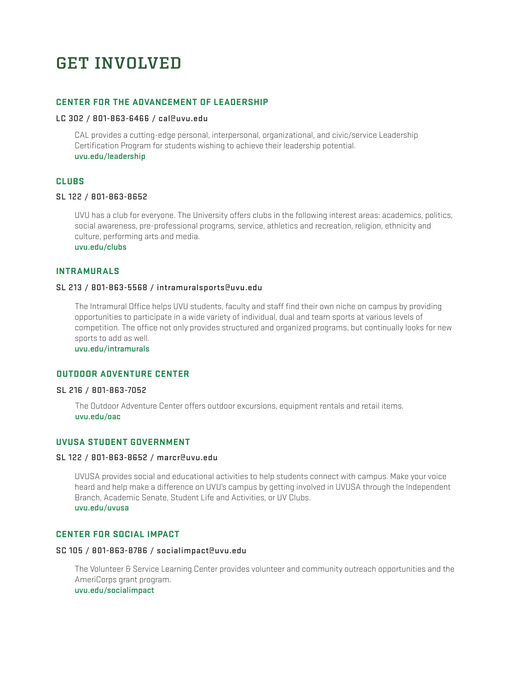## **GET INVOLVED**

#### **CENTER FOR THE ADVANCEMENT OF LEADERSHIP**

#### LC 302 / 801-863-6466 / cal@uvu.edu

CAL provides a cutting-edge personal, interpersonal, organizational, and civic/service Leadership Certification Program for students wishing to achieve their leadership potential. uvu.edu/leadership

#### **CLUBS**

#### SL 122 / 801-863-8652

UVU has a club for everyone. The University offers clubs in the following interest areas: academics, politics, social awareness, pre-professional programs, service, athletics and recreation, religion, ethnicity and culture, performing arts and media. uvu.edu/clubs

#### **INTRAMURALS**

#### SL 213 / 801-863-5568 / intramuralsports@uvu.edu

The Intramural Office helps UVU students, faculty and staff find their own niche on campus by providing opportunities to participate in a wide variety of individual, dual and team sports at various levels of competition. The office not only provides structured and organized programs, but continually looks for new sports to add as well.

uvu.edu/intramurals

#### **OUTDOOR ADVENTURE CENTER**

#### SL 216 / 801-863-7052

The Outdoor Adventure Center offers outdoor excursions, equipment rentals and retail items. uvu.edu/oac

#### **UVUSA STUDENT GOVERNMENT**

#### SL 122 / 801-863-8652 / marcr@uvu.edu

UVUSA provides social and educational activities to help students connect with campus. Make your voice heard and help make a difference on UVU's campus by getting involved in UVUSA through the Independent Branch, Academic Senate, Student Life and Activities, or UV Clubs. uvu.edu/uvusa

#### **CENTER FOR SOCIAL IMPACT**

#### SC 105 / 801-863-8786 / socialimpact@uvu.edu

The Volunteer & Service Learning Center provides volunteer and community outreach opportunities and the AmeriCorps grant program. uvu.edu/socialimpact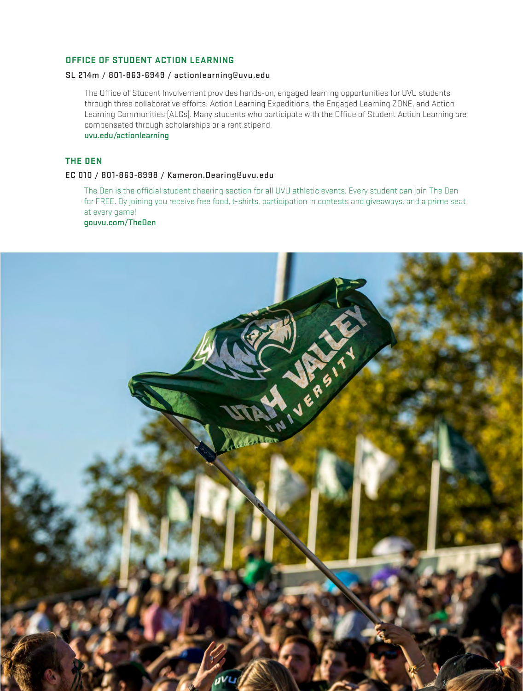#### **OFFICE OF STUDENT ACTION LEARNING**

#### SL 214m / 801-863-6949 / actionlearning@uvu.edu

The Office of Student Involvement provides hands-on, engaged learning opportunities for UVU students through three collaborative efforts: Action Learning Expeditions, the Engaged Learning ZONE, and Action Learning Communities (ALCs). Many students who participate with the Office of Student Action Learning are compensated through scholarships or a rent stipend.

uvu.edu/actionlearning

#### **THE DEN**

#### EC 010 / 801-863-8998 / Kameron.Dearing@uvu.edu

The Den is the official student cheering section for all UVU athletic events. Every student can join The Den for FREE. By joining you receive free food, t-shirts, participation in contests and giveaways, and a prime seat at every game!

gouvu.com/TheDen

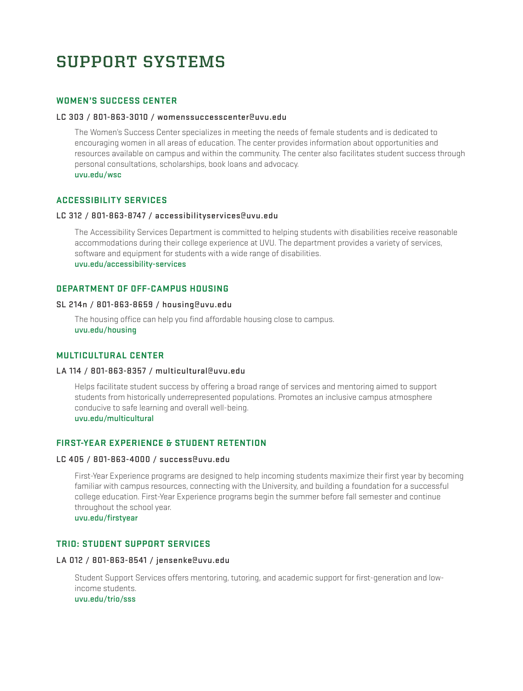## **SUPPORT SYSTEMS**

#### **WOMEN'S SUCCESS CENTER**

#### LC 303 / 801-863-3010 / womenssuccesscenter@uvu.edu

The Women's Success Center specializes in meeting the needs of female students and is dedicated to encouraging women in all areas of education. The center provides information about opportunities and resources available on campus and within the community. The center also facilitates student success through personal consultations, scholarships, book loans and advocacy. uvu.edu/wsc

#### **ACCESSIBILITY SERVICES**

#### LC 312 / 801-863-8747 / accessibilityservices@uvu.edu

The Accessibility Services Department is committed to helping students with disabilities receive reasonable accommodations during their college experience at UVU. The department provides a variety of services, software and equipment for students with a wide range of disabilities. uvu.edu/accessibility-services

#### **DEPARTMENT OF OFF-CAMPUS HOUSING**

#### SL 214n / 801-863-8659 / housing@uvu.edu

The housing office can help you find affordable housing close to campus. uvu.edu/housing

#### **MULTICULTURAL CENTER**

#### LA 114 / 801-863-8357 / multicultural@uvu.edu

Helps facilitate student success by offering a broad range of services and mentoring aimed to support students from historically underrepresented populations. Promotes an inclusive campus atmosphere conducive to safe learning and overall well-being. uvu.edu/multicultural

#### **FIRST-YEAR EXPERIENCE & STUDENT RETENTION**

#### LC 405 / 801-863-4000 / success@uvu.edu

First-Year Experience programs are designed to help incoming students maximize their first year by becoming familiar with campus resources, connecting with the University, and building a foundation for a successful college education. First-Year Experience programs begin the summer before fall semester and continue throughout the school year. uvu.edu/firstyear

#### **TRIO: STUDENT SUPPORT SERVICES**

#### LA 012 / 801-863-8541 / jensenke@uvu.edu

Student Support Services offers mentoring, tutoring, and academic support for first-generation and lowincome students.

uvu.edu/trio/sss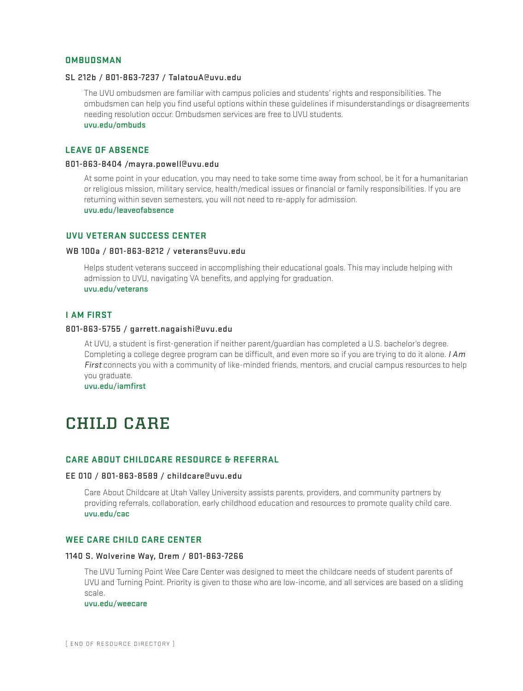#### **OMBUDSMAN**

#### SL 212b / 801-863-7237 / TalatouA@uvu.edu

The UVU ombudsmen are familiar with campus policies and students' rights and responsibilities. The ombudsmen can help you find useful options within these guidelines if misunderstandings or disagreements needing resolution occur. Ombudsmen services are free to UVU students. uvu.edu/ombuds

**LEAVE OF ABSENCE**

#### 801-863-8404 /mayra.powell@uvu.edu

At some point in your education, you may need to take some time away from school, be it for a humanitarian or religious mission, military service, health/medical issues or financial or family responsibilities. If you are returning within seven semesters, you will not need to re-apply for admission. uvu.edu/leaveofabsence

**UVU VETERAN SUCCESS CENTER**

#### WB 100a / 801-863-8212 / veterans@uvu.edu

Helps student veterans succeed in accomplishing their educational goals. This may include helping with admission to UVU, navigating VA benefits, and applying for graduation. uvu.edu/veterans

#### **I AM FIRST**

#### 801-863-5755 / garrett.nagaishi@uvu.edu

At UVU, a student is first-generation if neither parent/guardian has completed a U.S. bachelor's degree. Completing a college degree program can be difficult, and even more so if you are trying to do it alone. I Am First connects you with a community of like-minded friends, mentors, and crucial campus resources to help you graduate.

uvu.edu/iamfirst

### **CHILD CARE**

#### **CARE ABOUT CHILDCARE RESOURCE & REFERRAL**

#### EE 010 / 801-863-8589 / childcare@uvu.edu

Care About Childcare at Utah Valley University assists parents, providers, and community partners by providing referrals, collaboration, early childhood education and resources to promote quality child care. uvu.edu/cac

#### **WEE CARE CHILD CARE CENTER**

#### 1140 S. Wolverine Way, Orem / 801-863-7266

The UVU Turning Point Wee Care Center was designed to meet the childcare needs of student parents of UVU and Turning Point. Priority is given to those who are low-income, and all services are based on a sliding scale.

#### uvu.edu/weecare